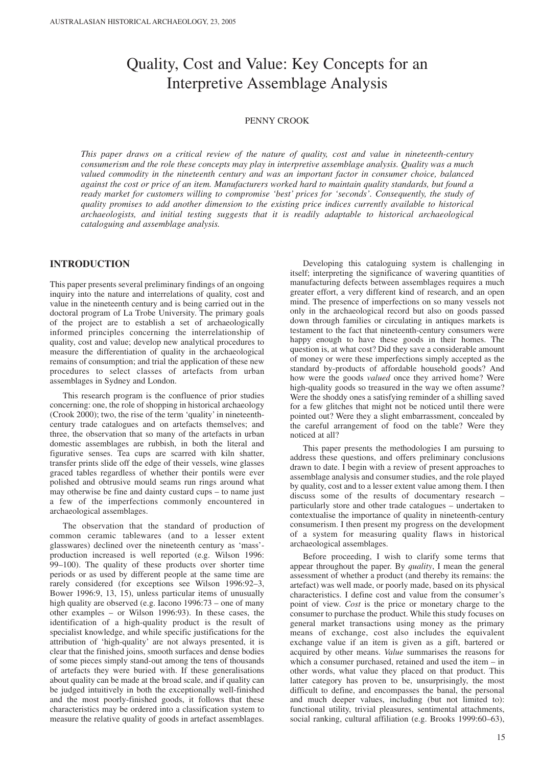# Quality, Cost and Value: Key Concepts for an Interpretive Assemblage Analysis

#### PENNY CROOK

*This paper draws on a critical review of the nature of quality, cost and value in nineteenth-century consumerism and the role these concepts may play in interpretive assemblage analysis. Quality was a much valued commodity in the nineteenth century and was an important factor in consumer choice, balanced against the cost or price of an item. Manufacturers worked hard to maintain quality standards, but found a ready market for customers willing to compromise 'best' prices for 'seconds'. Consequently, the study of quality promises to add another dimension to the existing price indices currently available to historical archaeologists, and initial testing suggests that it is readily adaptable to historical archaeological cataloguing and assemblage analysis.* 

# **INTRODUCTION**

This paper presents several preliminary findings of an ongoing inquiry into the nature and interrelations of quality, cost and value in the nineteenth century and is being carried out in the doctoral program of La Trobe University. The primary goals of the project are to establish a set of archaeologically informed principles concerning the interrelationship of quality, cost and value; develop new analytical procedures to measure the differentiation of quality in the archaeological remains of consumption; and trial the application of these new procedures to select classes of artefacts from urban assemblages in Sydney and London.

This research program is the confluence of prior studies concerning: one, the role of shopping in historical archaeology (Crook 2000); two, the rise of the term 'quality' in nineteenthcentury trade catalogues and on artefacts themselves; and three, the observation that so many of the artefacts in urban domestic assemblages are rubbish, in both the literal and figurative senses. Tea cups are scarred with kiln shatter, transfer prints slide off the edge of their vessels, wine glasses graced tables regardless of whether their pontils were ever polished and obtrusive mould seams run rings around what may otherwise be fine and dainty custard cups – to name just a few of the imperfections commonly encountered in archaeological assemblages.

The observation that the standard of production of common ceramic tablewares (and to a lesser extent glasswares) declined over the nineteenth century as 'mass' production increased is well reported (e.g. Wilson 1996: 99–100). The quality of these products over shorter time periods or as used by different people at the same time are rarely considered (for exceptions see Wilson 1996:92–3, Bower 1996:9, 13, 15), unless particular items of unusually high quality are observed (e.g. Iacono 1996:73 – one of many other examples – or Wilson 1996:93). In these cases, the identification of a high-quality product is the result of specialist knowledge, and while specific justifications for the attribution of 'high-quality' are not always presented, it is clear that the finished joins, smooth surfaces and dense bodies of some pieces simply stand-out among the tens of thousands of artefacts they were buried with. If these generalisations about quality can be made at the broad scale, and if quality can be judged intuitively in both the exceptionally well-finished and the most poorly-finished goods, it follows that these characteristics may be ordered into a classification system to measure the relative quality of goods in artefact assemblages.

Developing this cataloguing system is challenging in itself; interpreting the significance of wavering quantities of manufacturing defects between assemblages requires a much greater effort, a very different kind of research, and an open mind. The presence of imperfections on so many vessels not only in the archaeological record but also on goods passed down through families or circulating in antiques markets is testament to the fact that nineteenth-century consumers were happy enough to have these goods in their homes. The question is, at what cost? Did they save a considerable amount of money or were these imperfections simply accepted as the standard by-products of affordable household goods? And how were the goods *valued* once they arrived home? Were high-quality goods so treasured in the way we often assume? Were the shoddy ones a satisfying reminder of a shilling saved for a few glitches that might not be noticed until there were pointed out? Were they a slight embarrassment, concealed by the careful arrangement of food on the table? Were they noticed at all?

This paper presents the methodologies I am pursuing to address these questions, and offers preliminary conclusions drawn to date. I begin with a review of present approaches to assemblage analysis and consumer studies, and the role played by quality, cost and to a lesser extent value among them. I then discuss some of the results of documentary research – particularly store and other trade catalogues – undertaken to contextualise the importance of quality in nineteenth-century consumerism. I then present my progress on the development of a system for measuring quality flaws in historical archaeological assemblages.

Before proceeding, I wish to clarify some terms that appear throughout the paper. By *quality*, I mean the general assessment of whether a product (and thereby its remains: the artefact) was well made, or poorly made, based on its physical characteristics. I define cost and value from the consumer's point of view. *Cost* is the price or monetary charge to the consumer to purchase the product. While this study focuses on general market transactions using money as the primary means of exchange, cost also includes the equivalent exchange value if an item is given as a gift, bartered or acquired by other means. *Value* summarises the reasons for which a consumer purchased, retained and used the item – in other words, what value they placed on that product. This latter category has proven to be, unsurprisingly, the most difficult to define, and encompasses the banal, the personal and much deeper values, including (but not limited to): functional utility, trivial pleasures, sentimental attachments, social ranking, cultural affiliation (e.g. Brooks 1999:60–63),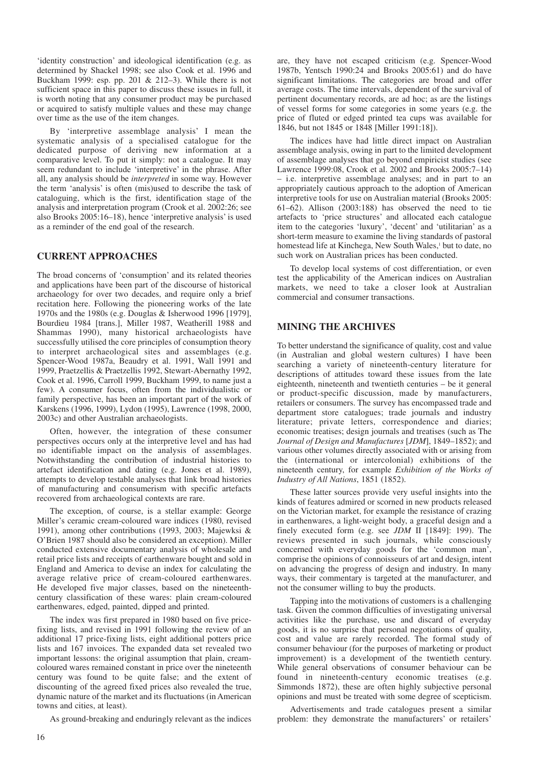'identity construction' and ideological identification (e.g. as determined by Shackel 1998; see also Cook et al. 1996 and Buckham 1999: esp. pp. 201 & 212–3). While there is not sufficient space in this paper to discuss these issues in full, it is worth noting that any consumer product may be purchased or acquired to satisfy multiple values and these may change over time as the use of the item changes.

By 'interpretive assemblage analysis' I mean the systematic analysis of a specialised catalogue for the dedicated purpose of deriving new information at a comparative level. To put it simply: not a catalogue. It may seem redundant to include 'interpretive' in the phrase. After all, any analysis should be *interpreted* in some way. However the term 'analysis' is often (mis)used to describe the task of cataloguing, which is the first, identification stage of the analysis and interpretation program (Crook et al. 2002:26; see also Brooks 2005:16–18), hence 'interpretive analysis' is used as a reminder of the end goal of the research.

# **CURRENT APPROACHES**

The broad concerns of 'consumption' and its related theories and applications have been part of the discourse of historical archaeology for over two decades, and require only a brief recitation here. Following the pioneering works of the late 1970s and the 1980s (e.g. Douglas & Isherwood 1996 [1979], Bourdieu 1984 [trans.], Miller 1987, Weatherill 1988 and Shammas 1990), many historical archaeologists have successfully utilised the core principles of consumption theory to interpret archaeological sites and assemblages (e.g. Spencer-Wood 1987a, Beaudry et al. 1991, Wall 1991 and 1999, Praetzellis & Praetzellis 1992, Stewart-Abernathy 1992, Cook et al. 1996, Carroll 1999, Buckham 1999, to name just a few). A consumer focus, often from the individualistic or family perspective, has been an important part of the work of Karskens (1996, 1999), Lydon (1995), Lawrence (1998, 2000, 2003c) and other Australian archaeologists.

Often, however, the integration of these consumer perspectives occurs only at the interpretive level and has had no identifiable impact on the analysis of assemblages. Notwithstanding the contribution of industrial histories to artefact identification and dating (e.g. Jones et al. 1989), attempts to develop testable analyses that link broad histories of manufacturing and consumerism with specific artefacts recovered from archaeological contexts are rare.

The exception, of course, is a stellar example: George Miller's ceramic cream-coloured ware indices (1980, revised 1991), among other contributions (1993, 2003; Majewksi & O'Brien 1987 should also be considered an exception). Miller conducted extensive documentary analysis of wholesale and retail price lists and receipts of earthenware bought and sold in England and America to devise an index for calculating the average relative price of cream-coloured earthenwares. He developed five major classes, based on the nineteenthcentury classification of these wares: plain cream-coloured earthenwares, edged, painted, dipped and printed.

The index was first prepared in 1980 based on five pricefixing lists, and revised in 1991 following the review of an additional 17 price-fixing lists, eight additional potters price lists and 167 invoices. The expanded data set revealed two important lessons: the original assumption that plain, creamcoloured wares remained constant in price over the nineteenth century was found to be quite false; and the extent of discounting of the agreed fixed prices also revealed the true, dynamic nature of the market and its fluctuations (in American towns and cities, at least).

As ground-breaking and enduringly relevant as the indices

are, they have not escaped criticism (e.g. Spencer-Wood 1987b, Yentsch 1990:24 and Brooks 2005:61) and do have significant limitations. The categories are broad and offer average costs. The time intervals, dependent of the survival of pertinent documentary records, are ad hoc; as are the listings of vessel forms for some categories in some years (e.g. the price of fluted or edged printed tea cups was available for 1846, but not 1845 or 1848 [Miller 1991:18]).

The indices have had little direct impact on Australian assemblage analysis, owing in part to the limited development of assemblage analyses that go beyond empiricist studies (see Lawrence 1999:08, Crook et al. 2002 and Brooks 2005:7–14) – i.e. interpretive assemblage analyses; and in part to an appropriately cautious approach to the adoption of American interpretive tools for use on Australian material (Brooks 2005:  $61-\overline{62}$ ). Allison (2003:188) has observed the need to tie artefacts to 'price structures' and allocated each catalogue item to the categories 'luxury', 'decent' and 'utilitarian' as a short-term measure to examine the living standards of pastoral homestead life at Kinchega, New South Wales,<sup>1</sup> but to date, no such work on Australian prices has been conducted.

To develop local systems of cost differentiation, or even test the applicability of the American indices on Australian markets, we need to take a closer look at Australian commercial and consumer transactions.

#### **MINING THE ARCHIVES**

To better understand the significance of quality, cost and value (in Australian and global western cultures) I have been searching a variety of nineteenth-century literature for descriptions of attitudes toward these issues from the late eighteenth, nineteenth and twentieth centuries – be it general or product-specific discussion, made by manufacturers, retailers or consumers. The survey has encompassed trade and department store catalogues; trade journals and industry literature; private letters, correspondence and diaries; economic treatises; design journals and treatises (such as The *Journal of Design and Manufactures* [*JDM*], 1849–1852); and various other volumes directly associated with or arising from the (international or intercolonial) exhibitions of the nineteenth century, for example *Exhibition of the Works of Industry of All Nations*, 1851 (1852).

These latter sources provide very useful insights into the kinds of features admired or scorned in new products released on the Victorian market, for example the resistance of crazing in earthenwares, a light-weight body, a graceful design and a finely executed form (e.g. see *JDM* II [1849]: 199). The reviews presented in such journals, while consciously concerned with everyday goods for the 'common man', comprise the opinions of connoisseurs of art and design, intent on advancing the progress of design and industry. In many ways, their commentary is targeted at the manufacturer, and not the consumer willing to buy the products.

Tapping into the motivations of customers is a challenging task. Given the common difficulties of investigating universal activities like the purchase, use and discard of everyday goods, it is no surprise that personal negotiations of quality, cost and value are rarely recorded. The formal study of consumer behaviour (for the purposes of marketing or product improvement) is a development of the twentieth century. While general observations of consumer behaviour can be found in nineteenth-century economic treatises (e.g. Simmonds 1872), these are often highly subjective personal opinions and must be treated with some degree of scepticism.

Advertisements and trade catalogues present a similar problem: they demonstrate the manufacturers' or retailers'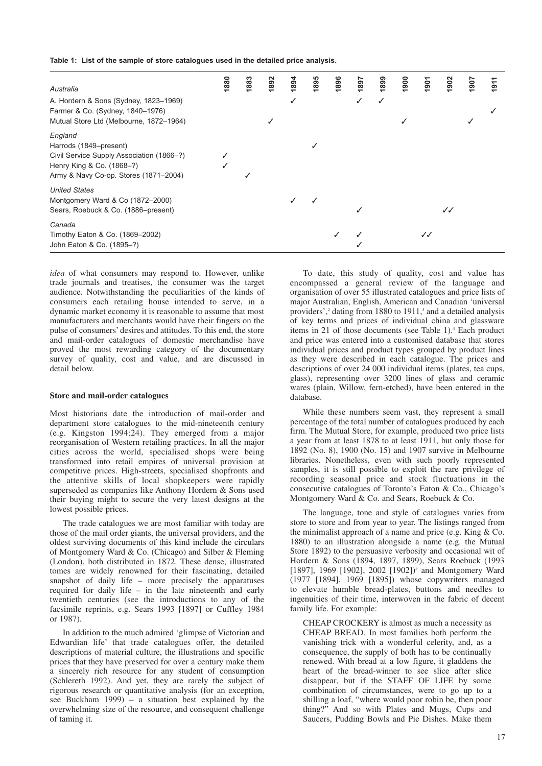**Table 1: List of the sample of store catalogues used in the detailed price analysis.** 

| Australia                                                                                                                                            | 880 | 883 | 1892 | 1894 | 1895 | 1896 | 1897 | 1899 | 900 | 1901         | 1902         | 907 | 1911 |
|------------------------------------------------------------------------------------------------------------------------------------------------------|-----|-----|------|------|------|------|------|------|-----|--------------|--------------|-----|------|
| A. Hordern & Sons (Sydney, 1823-1969)<br>Farmer & Co. (Sydney, 1840-1976)<br>Mutual Store Ltd (Melbourne, 1872-1964)                                 |     |     |      |      |      |      |      | ✓    |     |              |              |     |      |
| England<br>Harrods (1849–present)<br>Civil Service Supply Association (1866-?)<br>Henry King & Co. (1868-?)<br>Army & Navy Co-op. Stores (1871-2004) |     |     |      |      |      |      |      |      |     |              |              |     |      |
| <b>United States</b><br>Montgomery Ward & Co (1872-2000)<br>Sears, Roebuck & Co. (1886–present)                                                      |     |     |      |      |      |      |      |      |     |              | $\checkmark$ |     |      |
| Canada<br>Timothy Eaton & Co. (1869-2002)<br>John Eaton & Co. (1895-?)                                                                               |     |     |      |      |      |      |      |      |     | $\checkmark$ |              |     |      |

*idea* of what consumers may respond to. However, unlike trade journals and treatises, the consumer was the target audience. Notwithstanding the peculiarities of the kinds of consumers each retailing house intended to serve, in a dynamic market economy it is reasonable to assume that most manufacturers and merchants would have their fingers on the pulse of consumers' desires and attitudes. To this end, the store and mail-order catalogues of domestic merchandise have proved the most rewarding category of the documentary survey of quality, cost and value, and are discussed in detail below.

#### **Store and mail-order catalogues**

Most historians date the introduction of mail-order and department store catalogues to the mid-nineteenth century (e.g. Kingston 1994:24). They emerged from a major reorganisation of Western retailing practices. In all the major cities across the world, specialised shops were being transformed into retail empires of universal provision at competitive prices. High-streets, specialised shopfronts and the attentive skills of local shopkeepers were rapidly superseded as companies like Anthony Hordern & Sons used their buying might to secure the very latest designs at the lowest possible prices.

The trade catalogues we are most familiar with today are those of the mail order giants, the universal providers, and the oldest surviving documents of this kind include the circulars of Montgomery Ward & Co. (Chicago) and Silber & Fleming (London), both distributed in 1872. These dense, illustrated tomes are widely renowned for their fascinating, detailed snapshot of daily life – more precisely the apparatuses required for daily life – in the late nineteenth and early twentieth centuries (see the introductions to any of the facsimile reprints, e.g. Sears 1993 [1897] or Cuffley 1984 or 1987).

In addition to the much admired 'glimpse of Victorian and Edwardian life' that trade catalogues offer, the detailed descriptions of material culture, the illustrations and specific prices that they have preserved for over a century make them a sincerely rich resource for any student of consumption (Schlereth 1992). And yet, they are rarely the subject of rigorous research or quantitative analysis (for an exception, see Buckham 1999) – a situation best explained by the overwhelming size of the resource, and consequent challenge of taming it.

To date, this study of quality, cost and value has encompassed a general review of the language and organisation of over 55 illustrated catalogues and price lists of major Australian, English, American and Canadian 'universal providers',<sup>2</sup> dating from 1880 to 1911,<sup>3</sup> and a detailed analysis of key terms and prices of individual china and glassware items in 21 of those documents (see Table 1).<sup>4</sup> Each product and price was entered into a customised database that stores individual prices and product types grouped by product lines as they were described in each catalogue. The prices and descriptions of over 24 000 individual items (plates, tea cups, glass), representing over 3200 lines of glass and ceramic wares (plain, Willow, fern-etched), have been entered in the database.

While these numbers seem vast, they represent a small percentage of the total number of catalogues produced by each firm. The Mutual Store, for example, produced two price lists a year from at least 1878 to at least 1911, but only those for 1892 (No. 8), 1900 (No. 15) and 1907 survive in Melbourne libraries. Nonetheless, even with such poorly represented samples, it is still possible to exploit the rare privilege of recording seasonal price and stock fluctuations in the consecutive catalogues of Toronto's Eaton & Co., Chicago's Montgomery Ward & Co. and Sears, Roebuck & Co.

The language, tone and style of catalogues varies from store to store and from year to year. The listings ranged from the minimalist approach of a name and price (e.g. King & Co. 1880) to an illustration alongside a name (e.g. the Mutual Store 1892) to the persuasive verbosity and occasional wit of Hordern & Sons (1894, 1897, 1899), Sears Roebuck (1993 [1897], 1969 [1902], 2002 [1902])<sup>5</sup> and Montgomery Ward (1977 [1894], 1969 [1895]) whose copywriters managed to elevate humble bread-plates, buttons and needles to ingenuities of their time, interwoven in the fabric of decent family life. For example:

CHEAP CROCKERY is almost as much a necessity as CHEAP BREAD. In most families both perform the vanishing trick with a wonderful celerity, and, as a consequence, the supply of both has to be continually renewed. With bread at a low figure, it gladdens the heart of the bread-winner to see slice after slice disappear, but if the STAFF OF LIFE by some combination of circumstances, were to go up to a shilling a loaf, "where would poor robin be, then poor thing?" And so with Plates and Mugs, Cups and Saucers, Pudding Bowls and Pie Dishes. Make them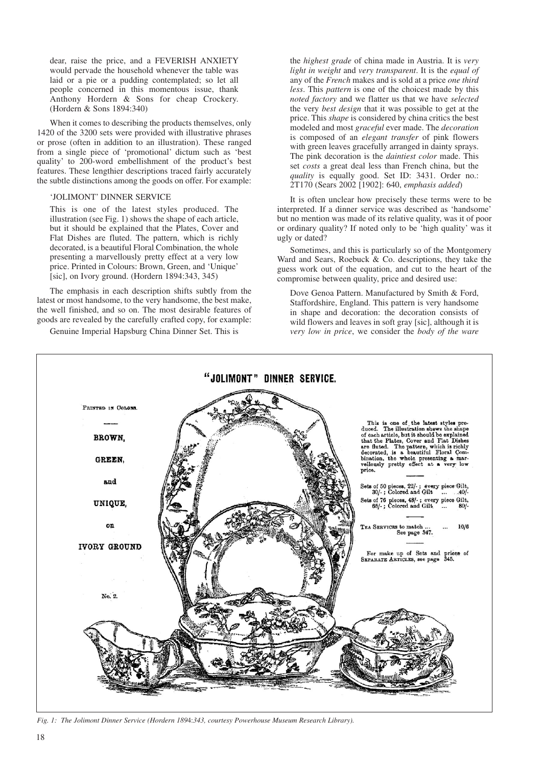dear, raise the price, and a FEVERISH ANXIETY would pervade the household whenever the table was laid or a pie or a pudding contemplated; so let all people concerned in this momentous issue, thank Anthony Hordern & Sons for cheap Crockery. (Hordern & Sons 1894:340)

When it comes to describing the products themselves, only 1420 of the 3200 sets were provided with illustrative phrases or prose (often in addition to an illustration). These ranged from a single piece of 'promotional' dictum such as 'best quality' to 200-word embellishment of the product's best features. These lengthier descriptions traced fairly accurately the subtle distinctions among the goods on offer. For example:

#### 'JOLIMONT' DINNER SERVICE

This is one of the latest styles produced. The illustration (see Fig. 1) shows the shape of each article, but it should be explained that the Plates, Cover and Flat Dishes are fluted. The pattern, which is richly decorated, is a beautiful Floral Combination, the whole presenting a marvellously pretty effect at a very low price. Printed in Colours: Brown, Green, and 'Unique' [sic], on Ivory ground. (Hordern 1894:343, 345)

The emphasis in each description shifts subtly from the latest or most handsome, to the very handsome, the best make, the well finished, and so on. The most desirable features of goods are revealed by the carefully crafted copy, for example:

Genuine Imperial Hapsburg China Dinner Set. This is

the *highest grade* of china made in Austria. It is *very light in weight* and *very transparent*. It is the *equal of* any of the *French* makes and is sold at a price *one third less*. This *pattern* is one of the choicest made by this *noted factory* and we flatter us that we have *selected* the very *best design* that it was possible to get at the price. This *shape* is considered by china critics the best modeled and most *graceful* ever made. The *decoration* is composed of an *elegant transfer* of pink flowers with green leaves gracefully arranged in dainty sprays. The pink decoration is the *daintiest color* made. This set *costs* a great deal less than French china, but the *quality* is equally good. Set ID: 3431. Order no.: 2T170 (Sears 2002 [1902]: 640, *emphasis added*)

It is often unclear how precisely these terms were to be interpreted. If a dinner service was described as 'handsome' but no mention was made of its relative quality, was it of poor or ordinary quality? If noted only to be 'high quality' was it ugly or dated?

Sometimes, and this is particularly so of the Montgomery Ward and Sears, Roebuck & Co. descriptions, they take the guess work out of the equation, and cut to the heart of the compromise between quality, price and desired use:

Dove Genoa Pattern. Manufactured by Smith & Ford, Staffordshire, England. This pattern is very handsome in shape and decoration: the decoration consists of wild flowers and leaves in soft gray [sic], although it is *very low in price*, we consider the *body of the ware*



*Fig. 1: The Jolimont Dinner Service (Hordern 189*4:*343, courtesy Powerhouse Museum Research Library).*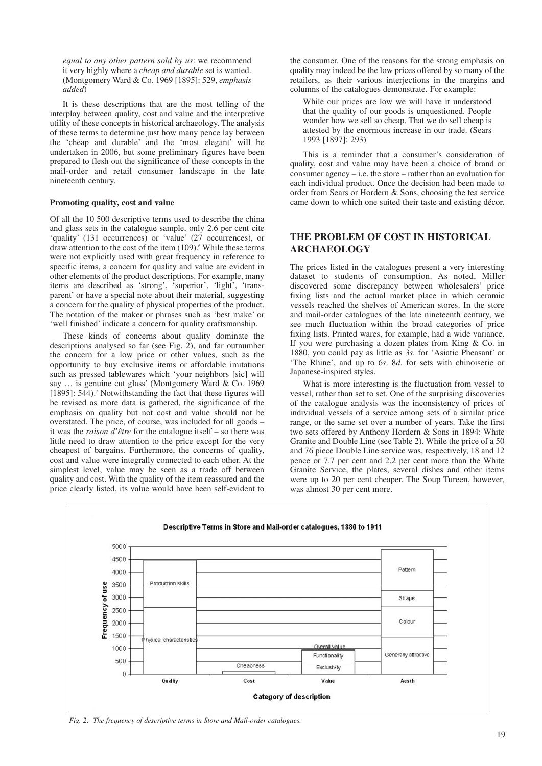*equal to any other pattern sold by us*: we recommend it very highly where a *cheap and durable* set is wanted. (Montgomery Ward & Co. 1969 [1895]: 529, *emphasis added*)

It is these descriptions that are the most telling of the interplay between quality, cost and value and the interpretive utility of these concepts in historical archaeology. The analysis of these terms to determine just how many pence lay between the 'cheap and durable' and the 'most elegant' will be undertaken in 2006, but some preliminary figures have been prepared to flesh out the significance of these concepts in the mail-order and retail consumer landscape in the late nineteenth century.

#### **Promoting quality, cost and value**

Of all the 10 500 descriptive terms used to describe the china and glass sets in the catalogue sample, only 2.6 per cent cite 'quality' (131 occurrences) or 'value' (27 occurrences), or draw attention to the cost of the item  $(109)$ .<sup>6</sup> While these terms were not explicitly used with great frequency in reference to specific items, a concern for quality and value are evident in other elements of the product descriptions. For example, many items are described as 'strong', 'superior', 'light', 'transparent' or have a special note about their material, suggesting a concern for the quality of physical properties of the product. The notation of the maker or phrases such as 'best make' or 'well finished' indicate a concern for quality craftsmanship.

These kinds of concerns about quality dominate the descriptions analysed so far (see Fig. 2), and far outnumber the concern for a low price or other values, such as the opportunity to buy exclusive items or affordable imitations such as pressed tablewares which 'your neighbors [sic] will say … is genuine cut glass' (Montgomery Ward & Co. 1969 [1895]: 544).<sup>7</sup> Notwithstanding the fact that these figures will be revised as more data is gathered, the significance of the emphasis on quality but not cost and value should not be overstated. The price, of course, was included for all goods – it was the *raison d'être* for the catalogue itself – so there was little need to draw attention to the price except for the very cheapest of bargains. Furthermore, the concerns of quality, cost and value were integrally connected to each other. At the simplest level, value may be seen as a trade off between quality and cost. With the quality of the item reassured and the price clearly listed, its value would have been self-evident to

the consumer. One of the reasons for the strong emphasis on quality may indeed be the low prices offered by so many of the retailers, as their various interjections in the margins and columns of the catalogues demonstrate. For example:

While our prices are low we will have it understood that the quality of our goods is unquestioned. People wonder how we sell so cheap. That we do sell cheap is attested by the enormous increase in our trade. (Sears 1993 [1897]: 293)

This is a reminder that a consumer's consideration of quality, cost and value may have been a choice of brand or consumer agency – i.e. the store – rather than an evaluation for each individual product. Once the decision had been made to order from Sears or Hordern & Sons, choosing the tea service came down to which one suited their taste and existing décor.

# **THE PROBLEM OF COST IN HISTORICAL ARCHAEOLOGY**

The prices listed in the catalogues present a very interesting dataset to students of consumption. As noted, Miller discovered some discrepancy between wholesalers' price fixing lists and the actual market place in which ceramic vessels reached the shelves of American stores. In the store and mail-order catalogues of the late nineteenth century, we see much fluctuation within the broad categories of price fixing lists. Printed wares, for example, had a wide variance. If you were purchasing a dozen plates from King & Co. in 1880, you could pay as little as 3*s*. for 'Asiatic Pheasant' or 'The Rhine', and up to 6*s*. 8*d*. for sets with chinoiserie or Japanese-inspired styles.

What is more interesting is the fluctuation from vessel to vessel, rather than set to set. One of the surprising discoveries of the catalogue analysis was the inconsistency of prices of individual vessels of a service among sets of a similar price range, or the same set over a number of years. Take the first two sets offered by Anthony Hordern & Sons in 1894: White Granite and Double Line (see Table 2). While the price of a 50 and 76 piece Double Line service was, respectively, 18 and 12 pence or 7.7 per cent and 2.2 per cent more than the White Granite Service, the plates, several dishes and other items were up to 20 per cent cheaper. The Soup Tureen, however, was almost 30 per cent more.



*Fig. 2: The frequency of descriptive terms in Store and Mail-order catalogues.*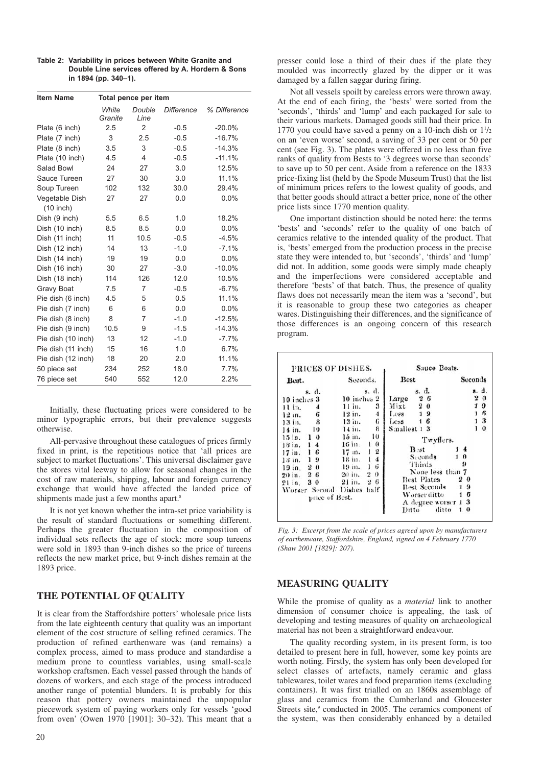| <b>Item Name</b>   | Total pence per item |                |                   |              |  |  |
|--------------------|----------------------|----------------|-------------------|--------------|--|--|
|                    | White<br>Granite     | Double<br>Line | <b>Difference</b> | % Difference |  |  |
| Plate (6 inch)     | 2.5                  | $\overline{2}$ | $-0.5$            | $-20.0%$     |  |  |
| Plate (7 inch)     | 3                    | 2.5            | $-0.5$            | $-16.7%$     |  |  |
| Plate (8 inch)     | 3.5                  | 3              | $-0.5$            | $-14.3%$     |  |  |
| Plate (10 inch)    | 4.5                  | $\overline{4}$ | $-0.5$            | $-11.1%$     |  |  |
| Salad Bowl         | 24                   | 27             | 3.0               | 12.5%        |  |  |
| Sauce Tureen       | 27                   | 30             | 3.0               | 11.1%        |  |  |
| Soup Tureen        | 102                  | 132            | 30.0              | 29.4%        |  |  |
| Vegetable Dish     | 27                   | 27             | 0.0               | 0.0%         |  |  |
| $(10$ inch)        |                      |                |                   |              |  |  |
| Dish (9 inch)      | 5.5                  | 6.5            | 1.0               | 18.2%        |  |  |
| Dish (10 inch)     | 8.5                  | 8.5            | 0.0               | 0.0%         |  |  |
| Dish (11 inch)     | 11                   | 10.5           | $-0.5$            | $-4.5%$      |  |  |
| Dish (12 inch)     | 14                   | 13             | $-1.0$            | $-7.1%$      |  |  |
| Dish (14 inch)     | 19                   | 19             | 0.0               | 0.0%         |  |  |
| Dish (16 inch)     | 30                   | 27             | $-3.0$            | $-10.0%$     |  |  |
| Dish (18 inch)     | 114                  | 126            | 12.0              | 10.5%        |  |  |
| Gravy Boat         | 7.5                  | 7              | $-0.5$            | $-6.7%$      |  |  |
| Pie dish (6 inch)  | 4.5                  | 5              | 0.5               | 11.1%        |  |  |
| Pie dish (7 inch)  | 6                    | 6              | 0.0               | 0.0%         |  |  |
| Pie dish (8 inch)  | 8                    | $\overline{7}$ | $-1.0$            | $-12.5%$     |  |  |
| Pie dish (9 inch)  | 10.5                 | 9              | $-1.5$            | $-14.3%$     |  |  |
| Pie dish (10 inch) | 13                   | 12             | $-1.0$            | $-7.7%$      |  |  |
| Pie dish (11 inch) | 15                   | 16             | 1.0               | 6.7%         |  |  |
| Pie dish (12 inch) | 18                   | 20             | 2.0               | 11.1%        |  |  |
| 50 piece set       | 234                  | 252            | 18.0              | 7.7%         |  |  |
| 76 piece set       | 540                  | 552            | 12.0              | 2.2%         |  |  |

**Table 2: Variability in prices between White Granite and Double Line services offered by A. Hordern & Sons in 1894 (pp. 340–1).**

Initially, these fluctuating prices were considered to be minor typographic errors, but their prevalence suggests otherwise.

All-pervasive throughout these catalogues of prices firmly fixed in print, is the repetitious notice that 'all prices are subject to market fluctuations'. This universal disclaimer gave the stores vital leeway to allow for seasonal changes in the cost of raw materials, shipping, labour and foreign currency exchange that would have affected the landed price of shipments made just a few months apart.<sup>8</sup>

It is not yet known whether the intra-set price variability is the result of standard fluctuations or something different. Perhaps the greater fluctuation in the composition of individual sets reflects the age of stock: more soup tureens were sold in 1893 than 9-inch dishes so the price of tureens reflects the new market price, but 9-inch dishes remain at the 1893 price.

# **THE POTENTIAL OF QUALITY**

It is clear from the Staffordshire potters' wholesale price lists from the late eighteenth century that quality was an important element of the cost structure of selling refined ceramics. The production of refined earthenware was (and remains) a complex process, aimed to mass produce and standardise a medium prone to countless variables, using small-scale workshop craftsmen. Each vessel passed through the hands of dozens of workers, and each stage of the process introduced another range of potential blunders. It is probably for this reason that pottery owners maintained the unpopular piecework system of paying workers only for vessels 'good from oven' (Owen 1970 [1901]: 30–32). This meant that a presser could lose a third of their dues if the plate they moulded was incorrectly glazed by the dipper or it was damaged by a fallen saggar during firing.

Not all vessels spoilt by careless errors were thrown away. At the end of each firing, the 'bests' were sorted from the 'seconds', 'thirds' and 'lump' and each packaged for sale to their various markets. Damaged goods still had their price. In 1770 you could have saved a penny on a 10-inch dish or  $1\frac{1}{2}$ on an 'even worse' second, a saving of 33 per cent or 50 per cent (see Fig. 3). The plates were offered in no less than five ranks of quality from Bests to '3 degrees worse than seconds' to save up to 50 per cent. Aside from a reference on the 1833 price-fixing list (held by the Spode Museum Trust) that the list of minimum prices refers to the lowest quality of goods, and that better goods should attract a better price, none of the other price lists since 1770 mention quality.

One important distinction should be noted here: the terms 'bests' and 'seconds' refer to the quality of one batch of ceramics relative to the intended quality of the product. That is, 'bests' emerged from the production process in the precise state they were intended to, but 'seconds', 'thirds' and 'lump' did not. In addition, some goods were simply made cheaply and the imperfections were considered acceptable and therefore 'bests' of that batch. Thus, the presence of quality flaws does not necessarily mean the item was a 'second', but it is reasonable to group these two categories as cheaper wares. Distinguishing their differences, and the significance of those differences is an ongoing concern of this research program.

| PRICES OF DISHES.                                                                                                                                                                                                                                     |                                                                                                                                                                                                                                                                                    | Sauce Boats.                                                                                                                                                                                                                                           |                                                                                                                     |  |  |
|-------------------------------------------------------------------------------------------------------------------------------------------------------------------------------------------------------------------------------------------------------|------------------------------------------------------------------------------------------------------------------------------------------------------------------------------------------------------------------------------------------------------------------------------------|--------------------------------------------------------------------------------------------------------------------------------------------------------------------------------------------------------------------------------------------------------|---------------------------------------------------------------------------------------------------------------------|--|--|
| Best.                                                                                                                                                                                                                                                 | Seconds.                                                                                                                                                                                                                                                                           | <b>Best</b>                                                                                                                                                                                                                                            | Seconds                                                                                                             |  |  |
| s. d.<br>10 inches 3<br>H in.<br>4<br>6<br>$12$ in.<br>- 8<br>13 iu.<br>10<br>14 in.<br>$15$ in. $1\,0$<br>18 in. 14<br>16<br>17 in.<br>$13$ in. $19$<br>19 in. 20<br>26<br>$20$ in.<br>30<br>$21$ in.<br>Worser Second Dishes half<br>price of Best. | s. d.<br>10 inches 2<br>3<br>11 in.<br>$12$ in.<br>4<br>6<br>13 in.<br>8<br>$14$ in.<br>10<br>$15$ in.<br>16 in.<br>$\theta$<br>12<br>$17 \; \text{in.}$<br>$\overline{\mathbf{4}}$<br>18 in.<br>6<br>1<br>19 m.<br>$\overline{2}$<br>$\boldsymbol{0}$<br>20 in.<br>26<br>$21$ in. | s. d.<br>26<br>Large<br>Mixt<br>$2\,0$<br>19<br>$L$ ess<br>16<br>$i$ ,ess<br>Smallest 1 3<br>Twyflers.<br>B:st<br>Seconds<br>Thirds<br>None less than 7<br><b>Best Plates</b><br>Best Scconds<br>Worser ditto<br>A degree worser 1 3<br>ditto<br>Ditto | s. d.<br>20<br>19<br>6<br>$\mathbf{1}$<br>3<br>$\bf{0}$<br>$1\theta$<br>9<br>20<br>19<br>1 <sub>6</sub><br>$\Omega$ |  |  |

*Fig. 3: Excerpt from the scale of prices agreed upon by manufacturers of earthenware, Staffordshire, England, signed on 4 February 1770 (Shaw 2001 [1829]: 207).*

#### **MEASURING QUALITY**

While the promise of quality as a *material* link to another dimension of consumer choice is appealing, the task of developing and testing measures of quality on archaeological material has not been a straightforward endeavour.

The quality recording system, in its present form, is too detailed to present here in full, however, some key points are worth noting. Firstly, the system has only been developed for select classes of artefacts, namely ceramic and glass tablewares, toilet wares and food preparation items (excluding containers). It was first trialled on an 1860s assemblage of glass and ceramics from the Cumberland and Gloucester Streets site,<sup>9</sup> conducted in 2005. The ceramics component of the system, was then considerably enhanced by a detailed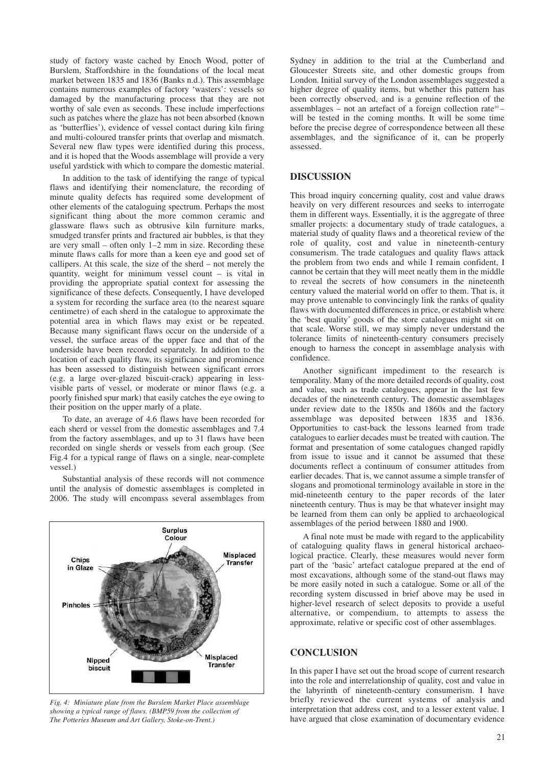study of factory waste cached by Enoch Wood, potter of Burslem, Staffordshire in the foundations of the local meat market between 1835 and 1836 (Banks n.d.). This assemblage contains numerous examples of factory 'wasters': vessels so damaged by the manufacturing process that they are not worthy of sale even as seconds. These include imperfections such as patches where the glaze has not been absorbed (known as 'butterflies'), evidence of vessel contact during kiln firing and multi-coloured transfer prints that overlap and mismatch. Several new flaw types were identified during this process. and it is hoped that the Woods assemblage will provide a very useful yardstick with which to compare the domestic material.

In addition to the task of identifying the range of typical flaws and identifying their nomenclature, the recording of minute quality defects has required some development of other elements of the cataloguing spectrum. Perhaps the most significant thing about the more common ceramic and glassware flaws such as obtrusive kiln furniture marks, smudged transfer prints and fractured air bubbles, is that they are very small – often only 1–2 mm in size. Recording these minute flaws calls for more than a keen eye and good set of callipers. At this scale, the size of the sherd – not merely the quantity, weight for minimum vessel count – is vital in providing the appropriate spatial context for assessing the significance of these defects. Consequently, I have developed a system for recording the surface area (to the nearest square centimetre) of each sherd in the catalogue to approximate the potential area in which flaws may exist or be repeated. Because many significant flaws occur on the underside of a vessel, the surface areas of the upper face and that of the underside have been recorded separately. In addition to the location of each quality flaw, its significance and prominence has been assessed to distinguish between significant errors (e.g. a large over-glazed biscuit-crack) appearing in lessvisible parts of vessel, or moderate or minor flaws (e.g. a poorly finished spur mark) that easily catches the eye owing to their position on the upper marly of a plate.

To date, an average of 4.6 flaws have been recorded for each sherd or vessel from the domestic assemblages and 7.4 from the factory assemblages, and up to 31 flaws have been recorded on single sherds or vessels from each group. (See Fig.4 for a typical range of flaws on a single, near-complete vessel.)

Substantial analysis of these records will not commence until the analysis of domestic assemblages is completed in 2006. The study will encompass several assemblages from



*Fig. 4: Miniature plate from the Burslem Market Place assemblage showing a typical range of flaws. (BMP59 from the collection of The Potteries Museum and Art Gallery, Stoke-on-Trent.)*

Sydney in addition to the trial at the Cumberland and Gloucester Streets site, and other domestic groups from London. Initial survey of the London assemblages suggested a higher degree of quality items, but whether this pattern has been correctly observed, and is a genuine reflection of the assemblages – not an artefact of a foreign collection rate<sup>10</sup> – will be tested in the coming months. It will be some time before the precise degree of correspondence between all these assemblages, and the significance of it, can be properly assessed.

### **DISCUSSION**

This broad inquiry concerning quality, cost and value draws heavily on very different resources and seeks to interrogate them in different ways. Essentially, it is the aggregate of three smaller projects: a documentary study of trade catalogues, a material study of quality flaws and a theoretical review of the role of quality, cost and value in nineteenth-century consumerism. The trade catalogues and quality flaws attack the problem from two ends and while I remain confident, I cannot be certain that they will meet neatly them in the middle to reveal the secrets of how consumers in the nineteenth century valued the material world on offer to them. That is, it may prove untenable to convincingly link the ranks of quality flaws with documented differences in price, or establish where the 'best quality' goods of the store catalogues might sit on that scale. Worse still, we may simply never understand the tolerance limits of nineteenth-century consumers precisely enough to harness the concept in assemblage analysis with confidence.

Another significant impediment to the research is temporality. Many of the more detailed records of quality, cost and value, such as trade catalogues, appear in the last few decades of the nineteenth century. The domestic assemblages under review date to the 1850s and 1860s and the factory assemblage was deposited between 1835 and 1836. Opportunities to cast-back the lessons learned from trade catalogues to earlier decades must be treated with caution. The format and presentation of some catalogues changed rapidly from issue to issue and it cannot be assumed that these documents reflect a continuum of consumer attitudes from earlier decades. That is, we cannot assume a simple transfer of slogans and promotional terminology available in store in the mid-nineteenth century to the paper records of the later nineteenth century. Thus is may be that whatever insight may be learned from them can only be applied to archaeological assemblages of the period between 1880 and 1900.

A final note must be made with regard to the applicability of cataloguing quality flaws in general historical archaeological practice. Clearly, these measures would never form part of the 'basic' artefact catalogue prepared at the end of most excavations, although some of the stand-out flaws may be more easily noted in such a catalogue. Some or all of the recording system discussed in brief above may be used in higher-level research of select deposits to provide a useful alternative, or compendium, to attempts to assess the approximate, relative or specific cost of other assemblages.

# **CONCLUSION**

In this paper I have set out the broad scope of current research into the role and interrelationship of quality, cost and value in the labyrinth of nineteenth-century consumerism. I have briefly reviewed the current systems of analysis and interpretation that address cost, and to a lesser extent value. I have argued that close examination of documentary evidence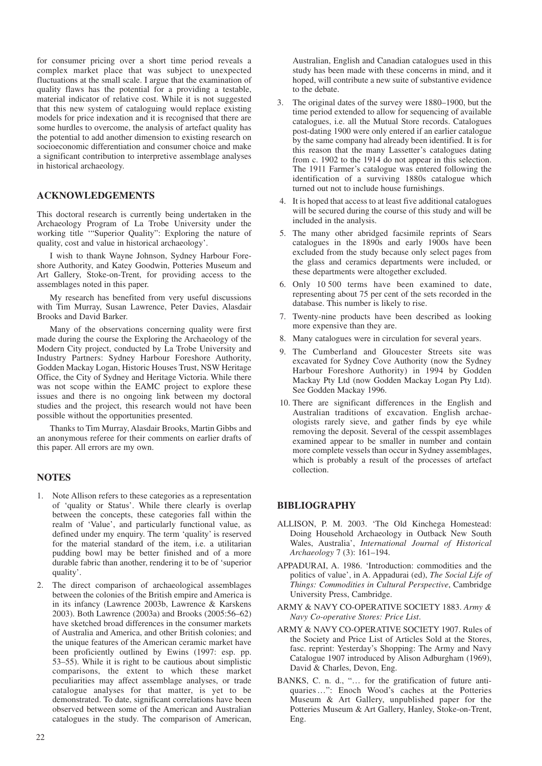for consumer pricing over a short time period reveals a complex market place that was subject to unexpected fluctuations at the small scale. I argue that the examination of quality flaws has the potential for a providing a testable, material indicator of relative cost. While it is not suggested that this new system of cataloguing would replace existing models for price indexation and it is recognised that there are some hurdles to overcome, the analysis of artefact quality has the potential to add another dimension to existing research on socioeconomic differentiation and consumer choice and make a significant contribution to interpretive assemblage analyses in historical archaeology.

# **ACKNOWLEDGEMENTS**

This doctoral research is currently being undertaken in the Archaeology Program of La Trobe University under the working title '"Superior Quality": Exploring the nature of quality, cost and value in historical archaeology'.

I wish to thank Wayne Johnson, Sydney Harbour Foreshore Authority, and Katey Goodwin, Potteries Museum and Art Gallery, Stoke-on-Trent, for providing access to the assemblages noted in this paper.

My research has benefited from very useful discussions with Tim Murray, Susan Lawrence, Peter Davies, Alasdair Brooks and David Barker.

Many of the observations concerning quality were first made during the course the Exploring the Archaeology of the Modern City project, conducted by La Trobe University and Industry Partners: Sydney Harbour Foreshore Authority, Godden Mackay Logan, Historic Houses Trust, NSW Heritage Office, the City of Sydney and Heritage Victoria. While there was not scope within the EAMC project to explore these issues and there is no ongoing link between my doctoral studies and the project, this research would not have been possible without the opportunities presented.

Thanks to Tim Murray, Alasdair Brooks, Martin Gibbs and an anonymous referee for their comments on earlier drafts of this paper. All errors are my own.

#### **NOTES**

- 1. Note Allison refers to these categories as a representation of 'quality or Status'. While there clearly is overlap between the concepts, these categories fall within the realm of 'Value', and particularly functional value, as defined under my enquiry. The term 'quality' is reserved for the material standard of the item, i.e. a utilitarian pudding bowl may be better finished and of a more durable fabric than another, rendering it to be of 'superior quality'.
- 2. The direct comparison of archaeological assemblages between the colonies of the British empire and America is in its infancy (Lawrence 2003b, Lawrence & Karskens 2003). Both Lawrence (2003a) and Brooks (2005:56–62) have sketched broad differences in the consumer markets of Australia and America, and other British colonies; and the unique features of the American ceramic market have been proficiently outlined by Ewins (1997: esp. pp. 53–55). While it is right to be cautious about simplistic comparisons, the extent to which these market peculiarities may affect assemblage analyses, or trade catalogue analyses for that matter, is yet to be demonstrated. To date, significant correlations have been observed between some of the American and Australian catalogues in the study. The comparison of American,

Australian, English and Canadian catalogues used in this study has been made with these concerns in mind, and it hoped, will contribute a new suite of substantive evidence to the debate.

- The original dates of the survey were 1880–1900, but the time period extended to allow for sequencing of available catalogues, i.e. all the Mutual Store records. Catalogues post-dating 1900 were only entered if an earlier catalogue by the same company had already been identified. It is for this reason that the many Lassetter's catalogues dating from c. 1902 to the 1914 do not appear in this selection. The 1911 Farmer's catalogue was entered following the identification of a surviving 1880s catalogue which turned out not to include house furnishings.
- 4. It is hoped that access to at least five additional catalogues will be secured during the course of this study and will be included in the analysis.
- 5. The many other abridged facsimile reprints of Sears catalogues in the 1890s and early 1900s have been excluded from the study because only select pages from the glass and ceramics departments were included, or these departments were altogether excluded.
- 6. Only 10 500 terms have been examined to date, representing about 75 per cent of the sets recorded in the database. This number is likely to rise.
- 7. Twenty-nine products have been described as looking more expensive than they are.
- 8. Many catalogues were in circulation for several years.
- 9. The Cumberland and Gloucester Streets site was excavated for Sydney Cove Authority (now the Sydney Harbour Foreshore Authority) in 1994 by Godden Mackay Pty Ltd (now Godden Mackay Logan Pty Ltd). See Godden Mackay 1996.
- 10. There are significant differences in the English and Australian traditions of excavation. English archaeologists rarely sieve, and gather finds by eye while removing the deposit. Several of the cesspit assemblages examined appear to be smaller in number and contain more complete vessels than occur in Sydney assemblages, which is probably a result of the processes of artefact collection.

# **BIBLIOGRAPHY**

- ALLISON, P. M. 2003. 'The Old Kinchega Homestead: Doing Household Archaeology in Outback New South Wales, Australia', *International Journal of Historical Archaeology* 7 (3): 161–194.
- APPADURAI, A. 1986. 'Introduction: commodities and the politics of value', in A. Appadurai (ed), *The Social Life of Things: Commodities in Cultural Perspective*, Cambridge University Press, Cambridge.
- ARMY & NAVY CO-OPERATIVE SOCIETY 1883. *Army & Navy Co-operative Stores: Price List*.
- ARMY & NAVY CO-OPERATIVE SOCIETY 1907. Rules of the Society and Price List of Articles Sold at the Stores, fasc. reprint: Yesterday's Shopping: The Army and Navy Catalogue 1907 introduced by Alison Adburgham (1969), David & Charles, Devon, Eng.
- BANKS, C. n. d., "… for the gratification of future antiquaries…": Enoch Wood's caches at the Potteries Museum & Art Gallery, unpublished paper for the Potteries Museum & Art Gallery, Hanley, Stoke-on-Trent, Eng.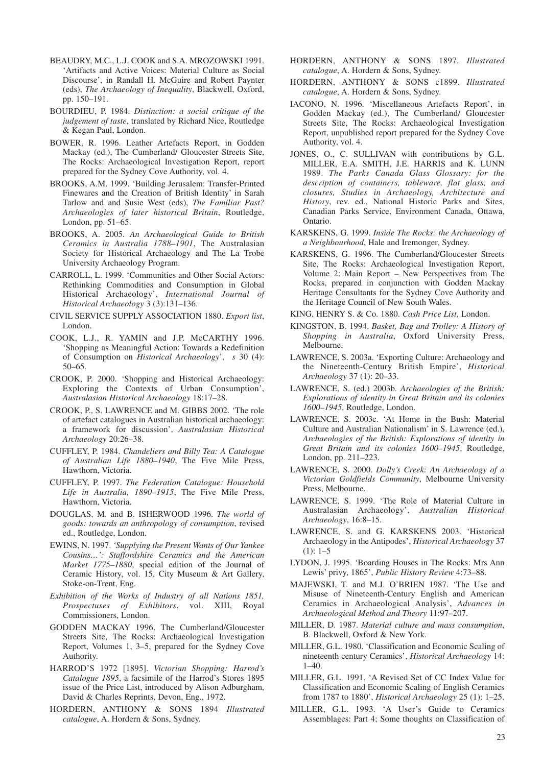- BEAUDRY, M.C., L.J. COOK and S.A. MROZOWSKI 1991. 'Artifacts and Active Voices: Material Culture as Social Discourse', in Randall H. McGuire and Robert Paynter (eds), *The Archaeology of Inequality*, Blackwell, Oxford, pp. 150–191.
- BOURDIEU, P. 1984. *Distinction: a social critique of the judgement of taste*, translated by Richard Nice, Routledge & Kegan Paul, London.
- BOWER, R. 1996. Leather Artefacts Report, in Godden Mackay (ed.), The Cumberland/ Gloucester Streets Site, The Rocks: Archaeological Investigation Report, report prepared for the Sydney Cove Authority, vol. 4.
- BROOKS, A.M. 1999. 'Building Jerusalem: Transfer-Printed Finewares and the Creation of British Identity' in Sarah Tarlow and and Susie West (eds), *The Familiar Past? Archaeologies of later historical Britain*, Routledge, London, pp. 51–65.
- BROOKS, A. 2005. *An Archaeological Guide to British Ceramics in Australia 1788–1901*, The Australasian Society for Historical Archaeology and The La Trobe University Archaeology Program.
- CARROLL, L. 1999. 'Communities and Other Social Actors: Rethinking Commodities and Consumption in Global Historical Archaeology', *International Journal of Historical Archaeology* 3 (3):131–136.
- CIVIL SERVICE SUPPLY ASSOCIATION 1880. *Export list*, London.
- COOK, L.J., R. YAMIN and J.P. McCARTHY 1996. 'Shopping as Meaningful Action: Towards a Redefinition of Consumption on *Historical Archaeology*', *s* 30 (4): 50–65.
- CROOK, P. 2000. 'Shopping and Historical Archaeology: Exploring the Contexts of Urban Consumption', *Australasian Historical Archaeology* 18:17–28.
- CROOK, P., S. LAWRENCE and M. GIBBS 2002. 'The role of artefact catalogues in Australian historical archaeology: a framework for discussion', *Australasian Historical Archaeology* 20:26–38.
- CUFFLEY, P. 1984. *Chandeliers and Billy Tea: A Catalogue of Australian Life 1880–1940*, The Five Mile Press, Hawthorn, Victoria.
- CUFFLEY, P. 1997. *The Federation Catalogue: Household Life in Australia, 1890–1915*, The Five Mile Press, Hawthorn, Victoria.
- DOUGLAS, M. and B. ISHERWOOD 1996. *The world of goods: towards an anthropology of consumption*, revised ed., Routledge, London.
- EWINS, N. 1997. *'Supplying the Present Wants of Our Yankee Cousins…': Staffordshire Ceramics and the American Market 1775–1880*, special edition of the Journal of Ceramic History, vol. 15, City Museum & Art Gallery, Stoke-on-Trent, Eng.
- *Exhibition of the Works of Industry of all Nations 1851, Prospectuses of Exhibitors*, vol. XIII, Royal Commissioners, London.
- GODDEN MACKAY 1996. The Cumberland/Gloucester Streets Site, The Rocks: Archaeological Investigation Report, Volumes 1, 3–5, prepared for the Sydney Cove Authority.
- HARROD'S 1972 [1895]. *Victorian Shopping: Harrod's Catalogue 1895*, a facsimile of the Harrod's Stores 1895 issue of the Price List, introduced by Alison Adburgham, David & Charles Reprints, Devon, Eng., 1972.
- HORDERN, ANTHONY & SONS 1894 *Illustrated catalogue*, A. Hordern & Sons, Sydney.
- HORDERN, ANTHONY & SONS 1897. *Illustrated catalogue*, A. Hordern & Sons, Sydney.
- HORDERN, ANTHONY & SONS c1899. *Illustrated catalogue*, A. Hordern & Sons, Sydney.
- IACONO, N. 1996. 'Miscellaneous Artefacts Report', in Godden Mackay (ed.), The Cumberland/ Gloucester Streets Site, The Rocks: Archaeological Investigation Report, unpublished report prepared for the Sydney Cove Authority, vol. 4.
- JONES, O., C. SULLIVAN with contributions by G.L. MILLER, E.A. SMITH, J.E. HARRIS and K. LUNN 1989. *The Parks Canada Glass Glossary: for the description of containers, tableware, flat glass, and closures, Studies in Archaeology, Architecture and History*, rev. ed., National Historic Parks and Sites, Canadian Parks Service, Environment Canada, Ottawa, Ontario.
- KARSKENS, G. 1999. *Inside The Rocks: the Archaeology of a Neighbourhood*, Hale and Iremonger, Sydney.
- KARSKENS, G. 1996. The Cumberland/Gloucester Streets Site, The Rocks: Archaeological Investigation Report, Volume 2: Main Report – New Perspectives from The Rocks, prepared in conjunction with Godden Mackay Heritage Consultants for the Sydney Cove Authority and the Heritage Council of New South Wales.
- KING, HENRY S. & Co. 1880. *Cash Price List*, London.
- KINGSTON, B. 1994. *Basket, Bag and Trolley: A History of Shopping in Australia*, Oxford University Press, Melbourne.
- LAWRENCE, S. 2003a. 'Exporting Culture: Archaeology and the Nineteenth-Century British Empire', *Historical Archaeology* 37 (1): 20–33.
- LAWRENCE, S. (ed.) 2003b. *Archaeologies of the British: Explorations of identity in Great Britain and its colonies 1600–1945*, Routledge, London.
- LAWRENCE, S. 2003c. 'At Home in the Bush: Material Culture and Australian Nationalism' in S. Lawrence (ed.), *Archaeologies of the British: Explorations of identity in Great Britain and its colonies 1600–1945*, Routledge, London, pp. 211–223.
- LAWRENCE, S. 2000. *Dolly's Creek: An Archaeology of a Victorian Goldfields Community*, Melbourne University Press, Melbourne.
- LAWRENCE, S. 1999. 'The Role of Material Culture in Australasian Archaeology', *Australian Historical Archaeology*, 16:8–15.
- LAWRENCE, S. and G. KARSKENS 2003. 'Historical Archaeology in the Antipodes', *Historical Archaeology* 37  $(1): 1-5$
- LYDON, J. 1995. 'Boarding Houses in The Rocks: Mrs Ann Lewis' privy, 1865', *Public History Review* 4:73–88.
- MAJEWSKI, T. and M.J. O'BRIEN 1987. 'The Use and Misuse of Nineteenth-Century English and American Ceramics in Archaeological Analysis', *Advances in Archaeological Method and Theory* 11:97–207.
- MILLER, D. 1987. *Material culture and mass consumption*, B. Blackwell, Oxford & New York.
- MILLER, G.L. 1980. 'Classification and Economic Scaling of nineteenth century Ceramics', *Historical Archaeology* 14:  $1-40.$
- MILLER, G.L. 1991. 'A Revised Set of CC Index Value for Classification and Economic Scaling of English Ceramics from 1787 to 1880', *Historical Archaeology* 25 (1): 1–25.
- MILLER, G.L. 1993. 'A User's Guide to Ceramics Assemblages: Part 4; Some thoughts on Classification of